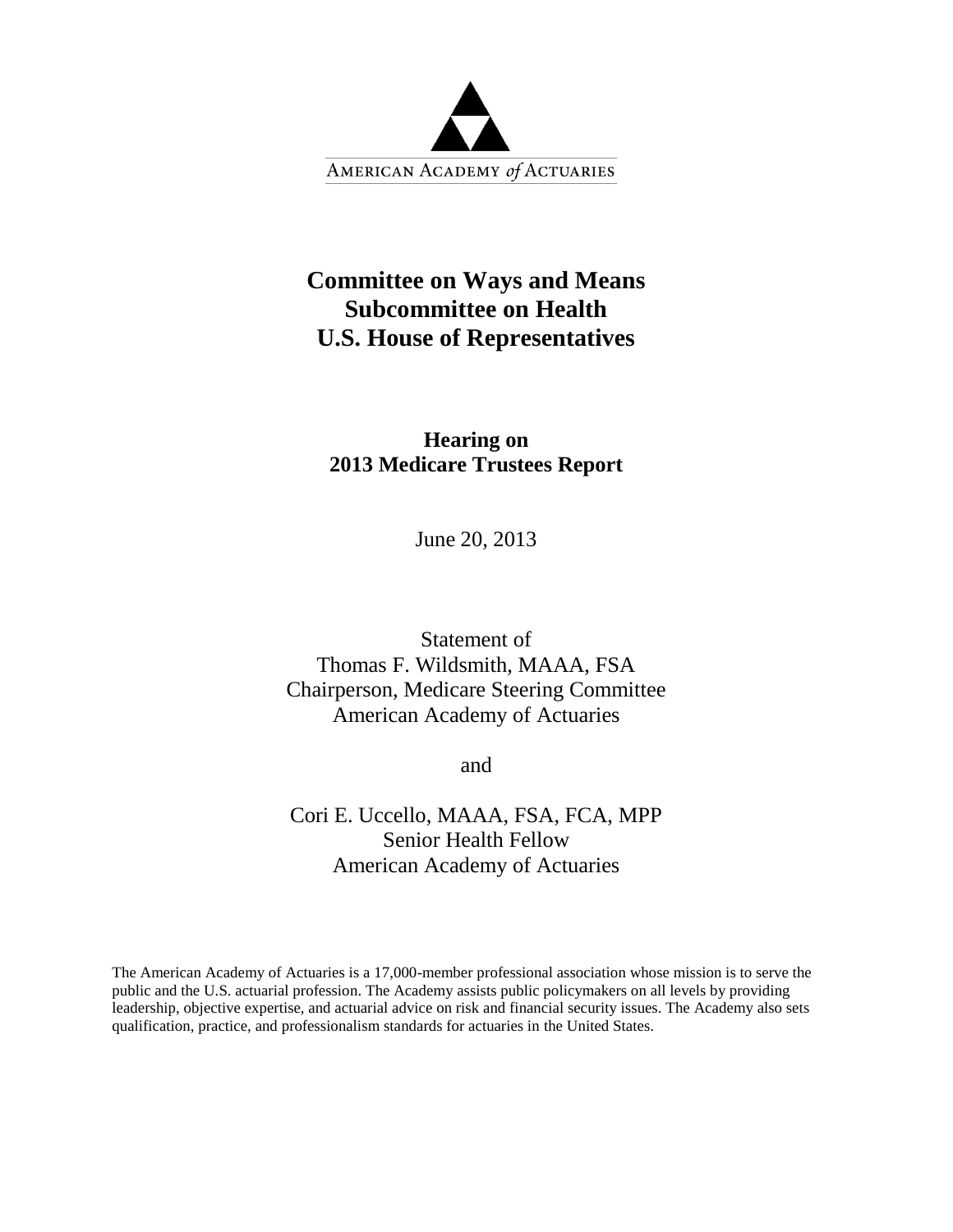

# **Committee on Ways and Means Subcommittee on Health U.S. House of Representatives**

# **Hearing on 2013 Medicare Trustees Report**

June 20, 2013

Statement of Thomas F. Wildsmith, MAAA, FSA Chairperson, Medicare Steering Committee American Academy of Actuaries

and

Cori E. Uccello, MAAA, FSA, FCA, MPP Senior Health Fellow American Academy of Actuaries

The American Academy of Actuaries is a 17,000-member professional association whose mission is to serve the public and the U.S. actuarial profession. The Academy assists public policymakers on all levels by providing leadership, objective expertise, and actuarial advice on risk and financial security issues. The Academy also sets qualification, practice, and professionalism standards for actuaries in the United States.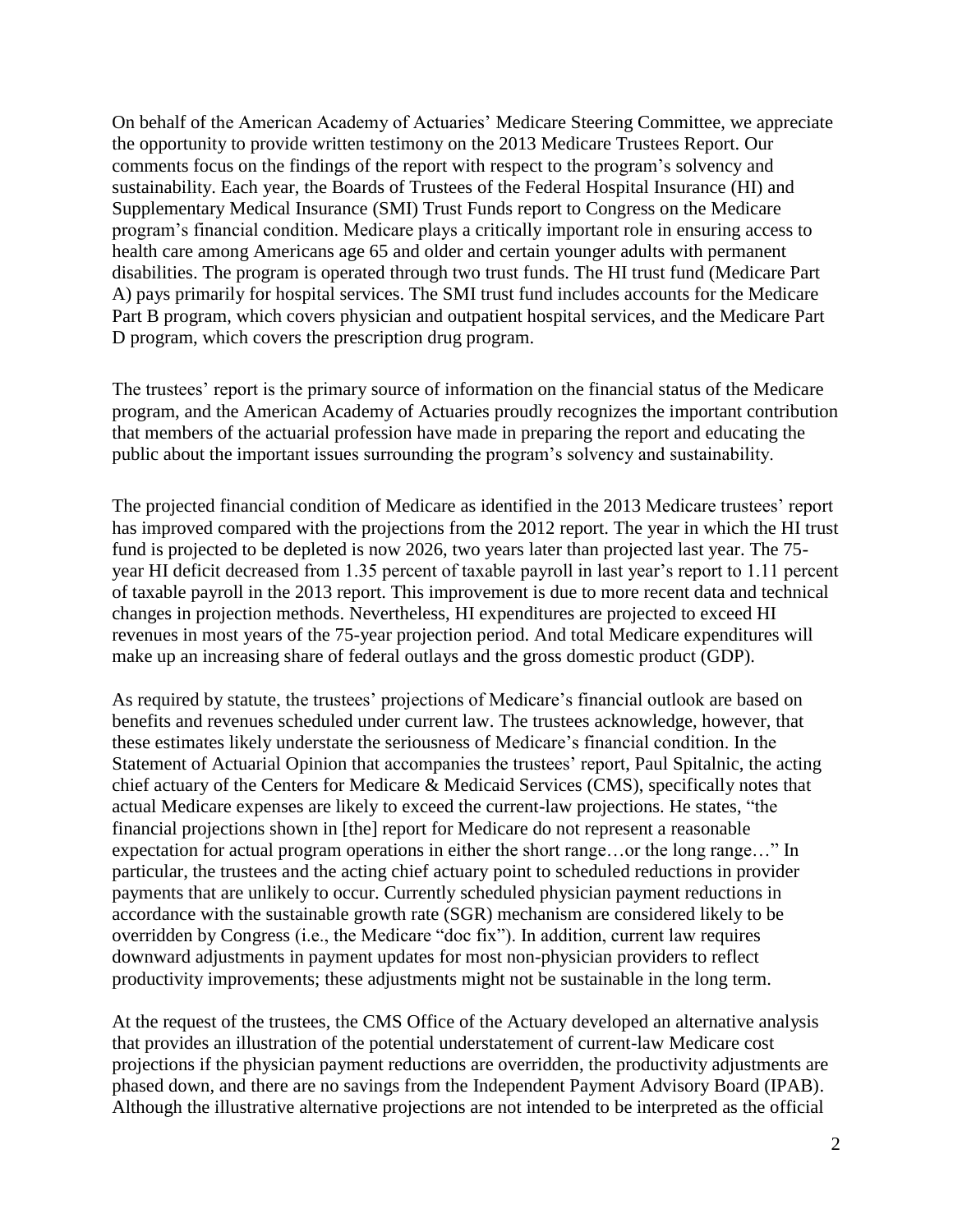On behalf of the American Academy of Actuaries' Medicare Steering Committee, we appreciate the opportunity to provide written testimony on the 2013 Medicare Trustees Report. Our comments focus on the findings of the report with respect to the program's solvency and sustainability. Each year, the Boards of Trustees of the Federal Hospital Insurance (HI) and Supplementary Medical Insurance (SMI) Trust Funds report to Congress on the Medicare program's financial condition. Medicare plays a critically important role in ensuring access to health care among Americans age 65 and older and certain younger adults with permanent disabilities. The program is operated through two trust funds. The HI trust fund (Medicare Part A) pays primarily for hospital services. The SMI trust fund includes accounts for the Medicare Part B program, which covers physician and outpatient hospital services, and the Medicare Part D program, which covers the prescription drug program.

The trustees' report is the primary source of information on the financial status of the Medicare program, and the American Academy of Actuaries proudly recognizes the important contribution that members of the actuarial profession have made in preparing the report and educating the public about the important issues surrounding the program's solvency and sustainability.

The projected financial condition of Medicare as identified in the 2013 Medicare trustees' report has improved compared with the projections from the 2012 report. The year in which the HI trust fund is projected to be depleted is now 2026, two years later than projected last year. The 75 year HI deficit decreased from 1.35 percent of taxable payroll in last year's report to 1.11 percent of taxable payroll in the 2013 report. This improvement is due to more recent data and technical changes in projection methods. Nevertheless, HI expenditures are projected to exceed HI revenues in most years of the 75-year projection period. And total Medicare expenditures will make up an increasing share of federal outlays and the gross domestic product (GDP).

As required by statute, the trustees' projections of Medicare's financial outlook are based on benefits and revenues scheduled under current law. The trustees acknowledge, however, that these estimates likely understate the seriousness of Medicare's financial condition. In the Statement of Actuarial Opinion that accompanies the trustees' report, Paul Spitalnic, the acting chief actuary of the Centers for Medicare & Medicaid Services (CMS), specifically notes that actual Medicare expenses are likely to exceed the current-law projections. He states, "the financial projections shown in [the] report for Medicare do not represent a reasonable expectation for actual program operations in either the short range…or the long range…" In particular, the trustees and the acting chief actuary point to scheduled reductions in provider payments that are unlikely to occur. Currently scheduled physician payment reductions in accordance with the sustainable growth rate (SGR) mechanism are considered likely to be overridden by Congress (i.e., the Medicare "doc fix"). In addition, current law requires downward adjustments in payment updates for most non-physician providers to reflect productivity improvements; these adjustments might not be sustainable in the long term.

At the request of the trustees, the CMS Office of the Actuary developed an alternative analysis that provides an illustration of the potential understatement of current-law Medicare cost projections if the physician payment reductions are overridden, the productivity adjustments are phased down, and there are no savings from the Independent Payment Advisory Board (IPAB). Although the illustrative alternative projections are not intended to be interpreted as the official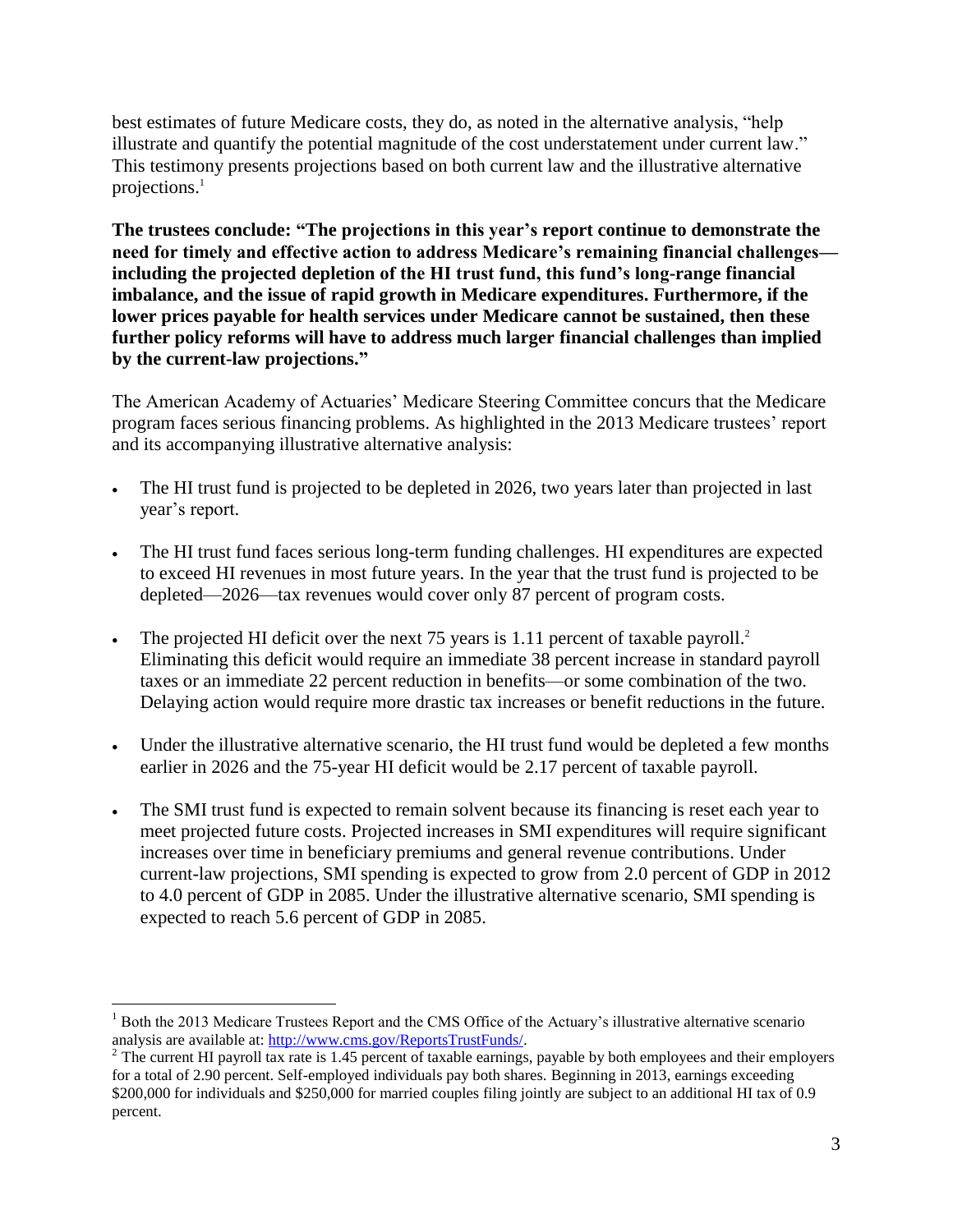best estimates of future Medicare costs, they do, as noted in the alternative analysis, "help illustrate and quantify the potential magnitude of the cost understatement under current law." This testimony presents projections based on both current law and the illustrative alternative projections.<sup>1</sup>

**The trustees conclude: "The projections in this year's report continue to demonstrate the need for timely and effective action to address Medicare's remaining financial challenges including the projected depletion of the HI trust fund, this fund's long-range financial imbalance, and the issue of rapid growth in Medicare expenditures. Furthermore, if the lower prices payable for health services under Medicare cannot be sustained, then these further policy reforms will have to address much larger financial challenges than implied by the current-law projections."** 

The American Academy of Actuaries' Medicare Steering Committee concurs that the Medicare program faces serious financing problems. As highlighted in the 2013 Medicare trustees' report and its accompanying illustrative alternative analysis:

- The HI trust fund is projected to be depleted in 2026, two years later than projected in last year's report.
- The HI trust fund faces serious long-term funding challenges. HI expenditures are expected to exceed HI revenues in most future years. In the year that the trust fund is projected to be depleted—2026—tax revenues would cover only 87 percent of program costs.
- The projected HI deficit over the next 75 years is 1.11 percent of taxable payroll.<sup>2</sup> Eliminating this deficit would require an immediate 38 percent increase in standard payroll taxes or an immediate 22 percent reduction in benefits—or some combination of the two. Delaying action would require more drastic tax increases or benefit reductions in the future.
- Under the illustrative alternative scenario, the HI trust fund would be depleted a few months earlier in 2026 and the 75-year HI deficit would be 2.17 percent of taxable payroll.
- The SMI trust fund is expected to remain solvent because its financing is reset each year to meet projected future costs. Projected increases in SMI expenditures will require significant increases over time in beneficiary premiums and general revenue contributions. Under current-law projections, SMI spending is expected to grow from 2.0 percent of GDP in 2012 to 4.0 percent of GDP in 2085. Under the illustrative alternative scenario, SMI spending is expected to reach 5.6 percent of GDP in 2085.

 $\overline{a}$ <sup>1</sup> Both the 2013 Medicare Trustees Report and the CMS Office of the Actuary's illustrative alternative scenario analysis are available at: [http://www.cms.gov/ReportsTrustFunds/.](http://www.cms.gov/ReportsTrustFunds/) 

<sup>&</sup>lt;sup>2</sup> The current HI payroll tax rate is 1.45 percent of taxable earnings, payable by both employees and their employers for a total of 2.90 percent. Self-employed individuals pay both shares. Beginning in 2013, earnings exceeding \$200,000 for individuals and \$250,000 for married couples filing jointly are subject to an additional HI tax of 0.9 percent.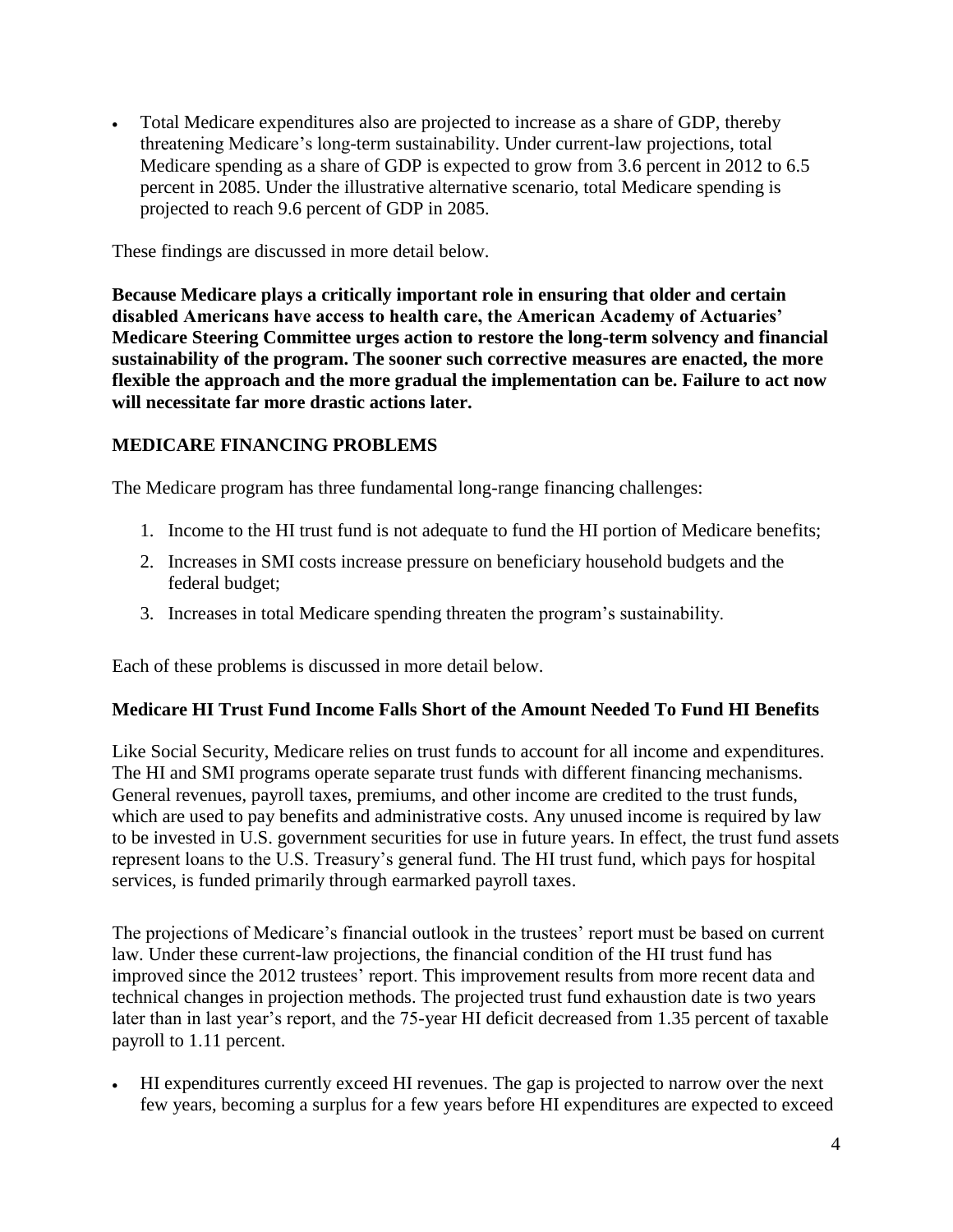Total Medicare expenditures also are projected to increase as a share of GDP, thereby threatening Medicare's long-term sustainability. Under current-law projections, total Medicare spending as a share of GDP is expected to grow from 3.6 percent in 2012 to 6.5 percent in 2085. Under the illustrative alternative scenario, total Medicare spending is projected to reach 9.6 percent of GDP in 2085.

These findings are discussed in more detail below.

**Because Medicare plays a critically important role in ensuring that older and certain disabled Americans have access to health care, the American Academy of Actuaries' Medicare Steering Committee urges action to restore the long-term solvency and financial sustainability of the program. The sooner such corrective measures are enacted, the more flexible the approach and the more gradual the implementation can be. Failure to act now will necessitate far more drastic actions later.** 

## **MEDICARE FINANCING PROBLEMS**

The Medicare program has three fundamental long-range financing challenges:

- 1. Income to the HI trust fund is not adequate to fund the HI portion of Medicare benefits;
- 2. Increases in SMI costs increase pressure on beneficiary household budgets and the federal budget;
- 3. Increases in total Medicare spending threaten the program's sustainability.

Each of these problems is discussed in more detail below.

#### **Medicare HI Trust Fund Income Falls Short of the Amount Needed To Fund HI Benefits**

Like Social Security, Medicare relies on trust funds to account for all income and expenditures. The HI and SMI programs operate separate trust funds with different financing mechanisms. General revenues, payroll taxes, premiums, and other income are credited to the trust funds, which are used to pay benefits and administrative costs. Any unused income is required by law to be invested in U.S. government securities for use in future years. In effect, the trust fund assets represent loans to the U.S. Treasury's general fund. The HI trust fund, which pays for hospital services, is funded primarily through earmarked payroll taxes.

The projections of Medicare's financial outlook in the trustees' report must be based on current law. Under these current-law projections, the financial condition of the HI trust fund has improved since the 2012 trustees' report. This improvement results from more recent data and technical changes in projection methods. The projected trust fund exhaustion date is two years later than in last year's report, and the 75-year HI deficit decreased from 1.35 percent of taxable payroll to 1.11 percent.

 HI expenditures currently exceed HI revenues. The gap is projected to narrow over the next few years, becoming a surplus for a few years before HI expenditures are expected to exceed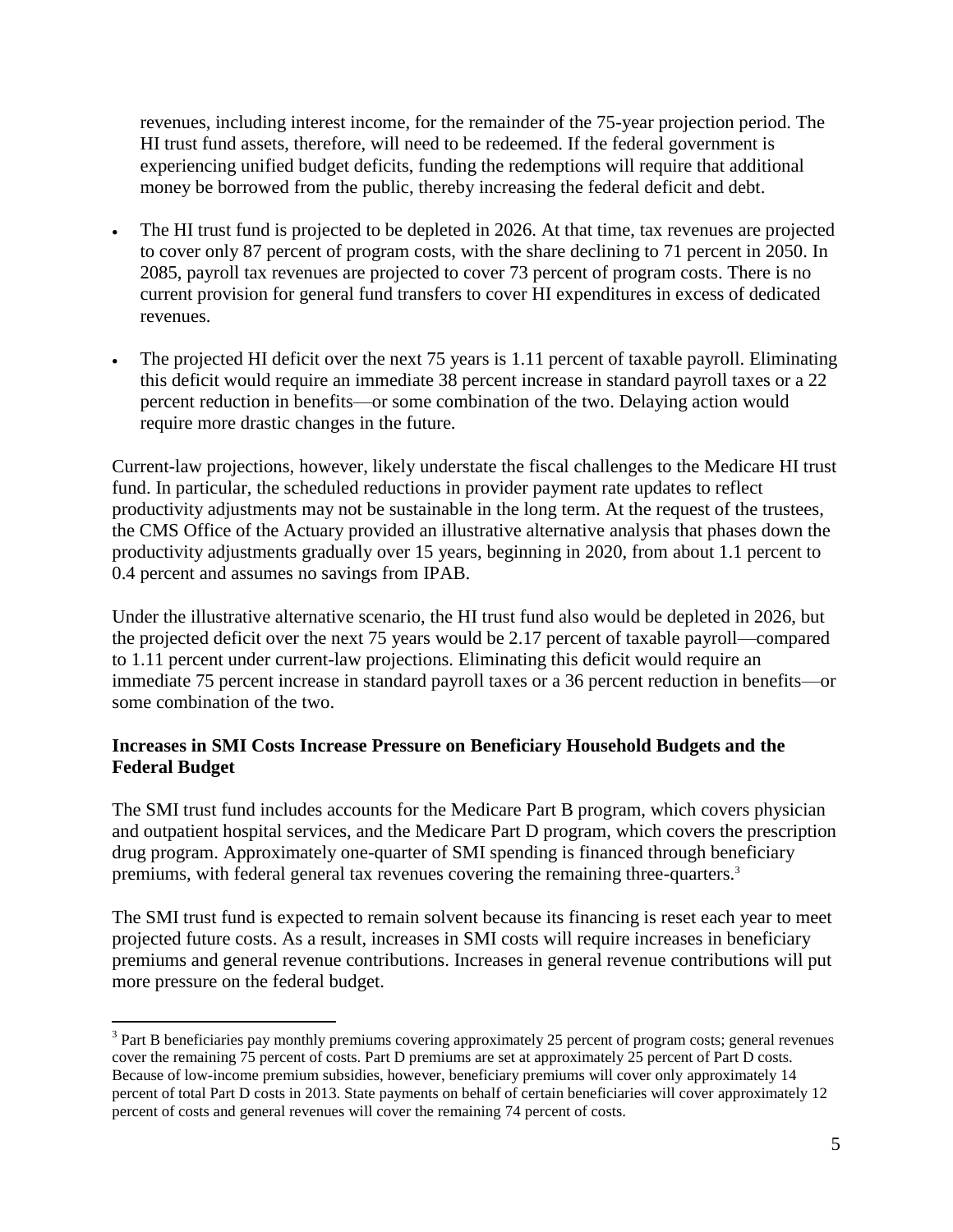revenues, including interest income, for the remainder of the 75-year projection period. The HI trust fund assets, therefore, will need to be redeemed. If the federal government is experiencing unified budget deficits, funding the redemptions will require that additional money be borrowed from the public, thereby increasing the federal deficit and debt.

- The HI trust fund is projected to be depleted in 2026. At that time, tax revenues are projected to cover only 87 percent of program costs, with the share declining to 71 percent in 2050. In 2085, payroll tax revenues are projected to cover 73 percent of program costs. There is no current provision for general fund transfers to cover HI expenditures in excess of dedicated revenues.
- The projected HI deficit over the next 75 years is 1.11 percent of taxable payroll. Eliminating this deficit would require an immediate 38 percent increase in standard payroll taxes or a 22 percent reduction in benefits—or some combination of the two. Delaying action would require more drastic changes in the future.

Current-law projections, however, likely understate the fiscal challenges to the Medicare HI trust fund. In particular, the scheduled reductions in provider payment rate updates to reflect productivity adjustments may not be sustainable in the long term. At the request of the trustees, the CMS Office of the Actuary provided an illustrative alternative analysis that phases down the productivity adjustments gradually over 15 years, beginning in 2020, from about 1.1 percent to 0.4 percent and assumes no savings from IPAB.

Under the illustrative alternative scenario, the HI trust fund also would be depleted in 2026, but the projected deficit over the next 75 years would be 2.17 percent of taxable payroll—compared to 1.11 percent under current-law projections. Eliminating this deficit would require an immediate 75 percent increase in standard payroll taxes or a 36 percent reduction in benefits—or some combination of the two.

## **Increases in SMI Costs Increase Pressure on Beneficiary Household Budgets and the Federal Budget**

The SMI trust fund includes accounts for the Medicare Part B program, which covers physician and outpatient hospital services, and the Medicare Part D program, which covers the prescription drug program. Approximately one-quarter of SMI spending is financed through beneficiary premiums, with federal general tax revenues covering the remaining three-quarters.<sup>3</sup>

The SMI trust fund is expected to remain solvent because its financing is reset each year to meet projected future costs. As a result, increases in SMI costs will require increases in beneficiary premiums and general revenue contributions. Increases in general revenue contributions will put more pressure on the federal budget.

 $\overline{a}$ 

 $3$  Part B beneficiaries pay monthly premiums covering approximately 25 percent of program costs; general revenues cover the remaining 75 percent of costs. Part D premiums are set at approximately 25 percent of Part D costs. Because of low-income premium subsidies, however, beneficiary premiums will cover only approximately 14 percent of total Part D costs in 2013. State payments on behalf of certain beneficiaries will cover approximately 12 percent of costs and general revenues will cover the remaining 74 percent of costs.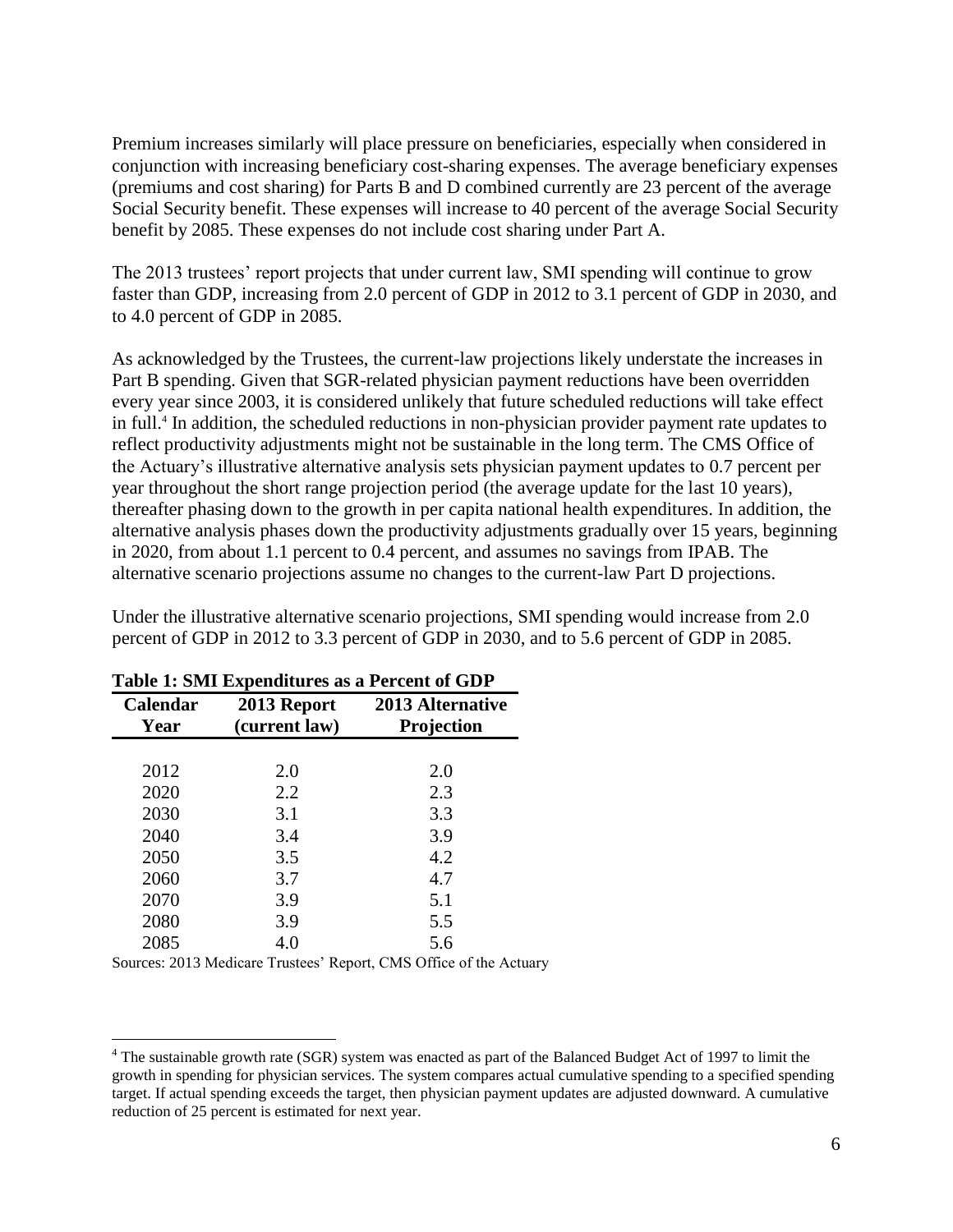Premium increases similarly will place pressure on beneficiaries, especially when considered in conjunction with increasing beneficiary cost-sharing expenses. The average beneficiary expenses (premiums and cost sharing) for Parts B and D combined currently are 23 percent of the average Social Security benefit. These expenses will increase to 40 percent of the average Social Security benefit by 2085. These expenses do not include cost sharing under Part A.

The 2013 trustees' report projects that under current law, SMI spending will continue to grow faster than GDP, increasing from 2.0 percent of GDP in 2012 to 3.1 percent of GDP in 2030, and to 4.0 percent of GDP in 2085.

As acknowledged by the Trustees, the current-law projections likely understate the increases in Part B spending. Given that SGR-related physician payment reductions have been overridden every year since 2003, it is considered unlikely that future scheduled reductions will take effect in full.<sup>4</sup> In addition, the scheduled reductions in non-physician provider payment rate updates to reflect productivity adjustments might not be sustainable in the long term. The CMS Office of the Actuary's illustrative alternative analysis sets physician payment updates to 0.7 percent per year throughout the short range projection period (the average update for the last 10 years), thereafter phasing down to the growth in per capita national health expenditures. In addition, the alternative analysis phases down the productivity adjustments gradually over 15 years, beginning in 2020, from about 1.1 percent to 0.4 percent, and assumes no savings from IPAB. The alternative scenario projections assume no changes to the current-law Part D projections.

Under the illustrative alternative scenario projections, SMI spending would increase from 2.0 percent of GDP in 2012 to 3.3 percent of GDP in 2030, and to 5.6 percent of GDP in 2085.

| <b>Calendar</b><br>Year | 2013 Report<br>(current law) | <b>2013 Alternative</b><br>Projection |
|-------------------------|------------------------------|---------------------------------------|
|                         |                              |                                       |
| 2012                    | 2.0                          | 2.0                                   |
| 2020                    | 2.2                          | 2.3                                   |
| 2030                    | 3.1                          | 3.3                                   |
| 2040                    | 3.4                          | 3.9                                   |
| 2050                    | 3.5                          | 4.2                                   |
| 2060                    | 3.7                          | 4.7                                   |
| 2070                    | 3.9                          | 5.1                                   |
| 2080                    | 3.9                          | 5.5                                   |
| 2085                    | 4.0                          | 5.6                                   |

#### **Table 1: SMI Expenditures as a Percent of GDP**

Sources: 2013 Medicare Trustees' Report, CMS Office of the Actuary

 $\overline{a}$ 

<sup>4</sup> The sustainable growth rate (SGR) system was enacted as part of the Balanced Budget Act of 1997 to limit the growth in spending for physician services. The system compares actual cumulative spending to a specified spending target. If actual spending exceeds the target, then physician payment updates are adjusted downward. A cumulative reduction of 25 percent is estimated for next year.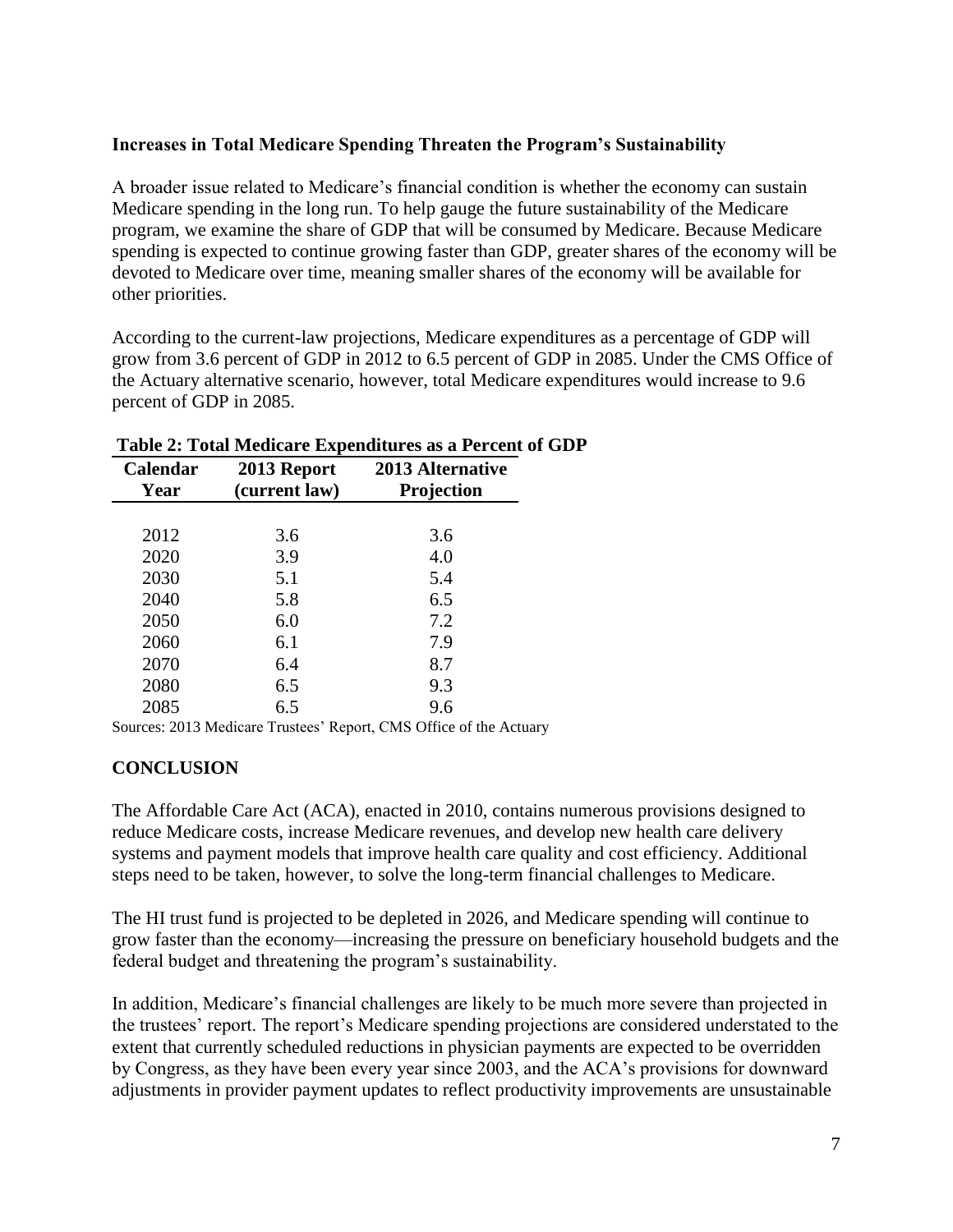# **Increases in Total Medicare Spending Threaten the Program's Sustainability**

A broader issue related to Medicare's financial condition is whether the economy can sustain Medicare spending in the long run. To help gauge the future sustainability of the Medicare program, we examine the share of GDP that will be consumed by Medicare. Because Medicare spending is expected to continue growing faster than GDP, greater shares of the economy will be devoted to Medicare over time, meaning smaller shares of the economy will be available for other priorities.

According to the current-law projections, Medicare expenditures as a percentage of GDP will grow from 3.6 percent of GDP in 2012 to 6.5 percent of GDP in 2085. Under the CMS Office of the Actuary alternative scenario, however, total Medicare expenditures would increase to 9.6 percent of GDP in 2085.

| <b>Calendar</b><br>Year | 2013 Report<br>(current law) | <b>2013 Alternative</b><br>Projection |
|-------------------------|------------------------------|---------------------------------------|
|                         |                              |                                       |
| 2012                    | 3.6                          | 3.6                                   |
| 2020                    | 3.9                          | 4.0                                   |
| 2030                    | 5.1                          | 5.4                                   |
| 2040                    | 5.8                          | 6.5                                   |
| 2050                    | 6.0                          | 7.2                                   |
| 2060                    | 6.1                          | 7.9                                   |
| 2070                    | 6.4                          | 8.7                                   |
| 2080                    | 6.5                          | 9.3                                   |
| 2085                    | 6.5                          | 9.6                                   |

#### **Table 2: Total Medicare Expenditures as a Percent of GDP**

Sources: 2013 Medicare Trustees' Report, CMS Office of the Actuary

## **CONCLUSION**

The Affordable Care Act (ACA), enacted in 2010, contains numerous provisions designed to reduce Medicare costs, increase Medicare revenues, and develop new health care delivery systems and payment models that improve health care quality and cost efficiency. Additional steps need to be taken, however, to solve the long-term financial challenges to Medicare.

The HI trust fund is projected to be depleted in 2026, and Medicare spending will continue to grow faster than the economy—increasing the pressure on beneficiary household budgets and the federal budget and threatening the program's sustainability.

In addition, Medicare's financial challenges are likely to be much more severe than projected in the trustees' report. The report's Medicare spending projections are considered understated to the extent that currently scheduled reductions in physician payments are expected to be overridden by Congress, as they have been every year since 2003, and the ACA's provisions for downward adjustments in provider payment updates to reflect productivity improvements are unsustainable